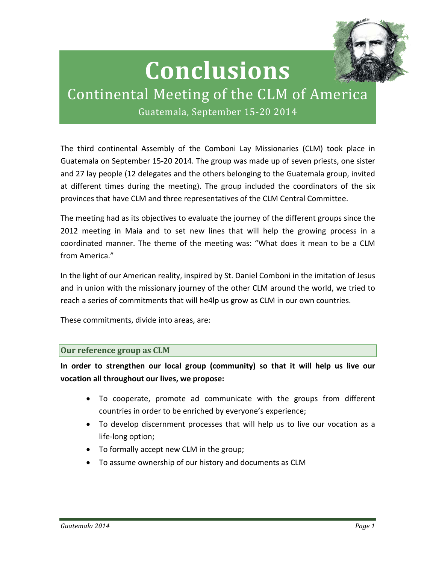

# **Conclusions**

# Continental Meeting of the CLM of America

Guatemala, September 15-20 2014

The third continental Assembly of the Comboni Lay Missionaries (CLM) took place in Guatemala on September 15-20 2014. The group was made up of seven priests, one sister and 27 lay people (12 delegates and the others belonging to the Guatemala group, invited at different times during the meeting). The group included the coordinators of the six provinces that have CLM and three representatives of the CLM Central Committee.

The meeting had as its objectives to evaluate the journey of the different groups since the 2012 meeting in Maia and to set new lines that will help the growing process in a coordinated manner. The theme of the meeting was: "What does it mean to be a CLM from America."

In the light of our American reality, inspired by St. Daniel Comboni in the imitation of Jesus and in union with the missionary journey of the other CLM around the world, we tried to reach a series of commitments that will he4lp us grow as CLM in our own countries.

These commitments, divide into areas, are:

# **Our reference group as CLM**

**In order to strengthen our local group (community) so that it will help us live our vocation all throughout our lives, we propose:**

- To cooperate, promote ad communicate with the groups from different countries in order to be enriched by everyone's experience;
- To develop discernment processes that will help us to live our vocation as a life-long option;
- To formally accept new CLM in the group;
- To assume ownership of our history and documents as CLM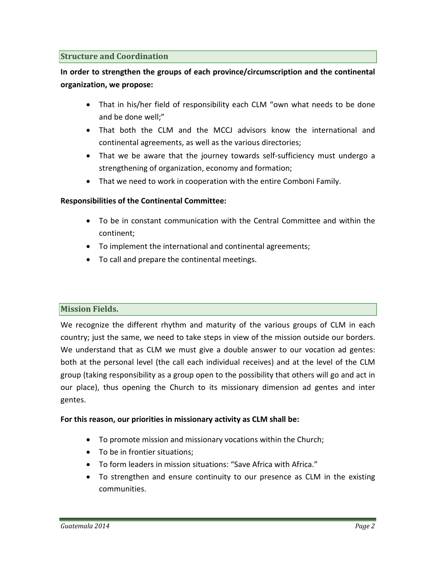# **Structure and Coordination**

**In order to strengthen the groups of each province/circumscription and the continental organization, we propose:**

- That in his/her field of responsibility each CLM "own what needs to be done and be done well;"
- That both the CLM and the MCCJ advisors know the international and continental agreements, as well as the various directories;
- That we be aware that the journey towards self-sufficiency must undergo a strengthening of organization, economy and formation;
- That we need to work in cooperation with the entire Comboni Family.

# **Responsibilities of the Continental Committee:**

- To be in constant communication with the Central Committee and within the continent;
- To implement the international and continental agreements;
- To call and prepare the continental meetings.

# **Mission Fields.**

We recognize the different rhythm and maturity of the various groups of CLM in each country; just the same, we need to take steps in view of the mission outside our borders. We understand that as CLM we must give a double answer to our vocation ad gentes: both at the personal level (the call each individual receives) and at the level of the CLM group (taking responsibility as a group open to the possibility that others will go and act in our place), thus opening the Church to its missionary dimension ad gentes and inter gentes.

#### **For this reason, our priorities in missionary activity as CLM shall be:**

- To promote mission and missionary vocations within the Church;
- To be in frontier situations;
- To form leaders in mission situations: "Save Africa with Africa."
- To strengthen and ensure continuity to our presence as CLM in the existing communities.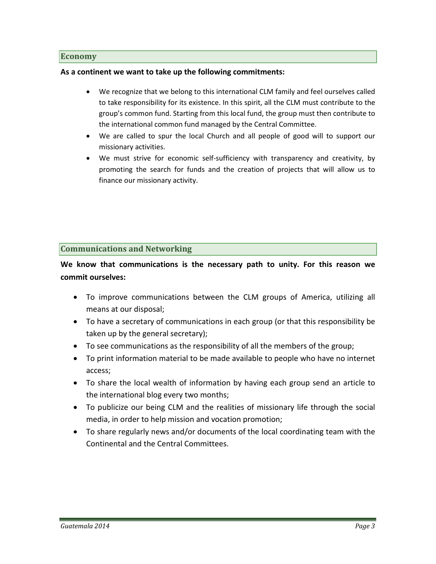#### **Economy**

#### **As a continent we want to take up the following commitments:**

- We recognize that we belong to this international CLM family and feel ourselves called to take responsibility for its existence. In this spirit, all the CLM must contribute to the group's common fund. Starting from this local fund, the group must then contribute to the international common fund managed by the Central Committee.
- We are called to spur the local Church and all people of good will to support our missionary activities.
- We must strive for economic self-sufficiency with transparency and creativity, by promoting the search for funds and the creation of projects that will allow us to finance our missionary activity.

# **Communications and Networking**

**We know that communications is the necessary path to unity. For this reason we commit ourselves:**

- To improve communications between the CLM groups of America, utilizing all means at our disposal;
- To have a secretary of communications in each group (or that this responsibility be taken up by the general secretary);
- To see communications as the responsibility of all the members of the group;
- To print information material to be made available to people who have no internet access;
- To share the local wealth of information by having each group send an article to the international blog every two months;
- To publicize our being CLM and the realities of missionary life through the social media, in order to help mission and vocation promotion;
- To share regularly news and/or documents of the local coordinating team with the Continental and the Central Committees.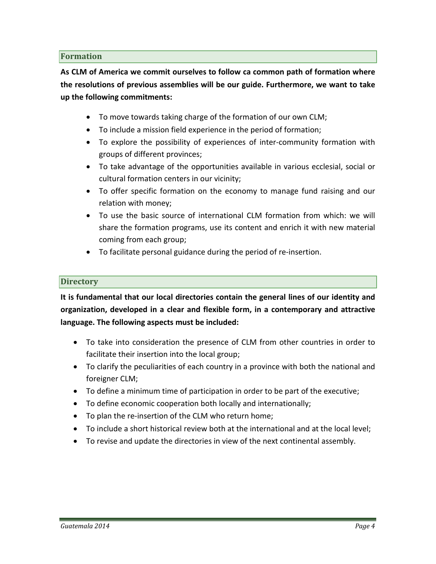# **Formation**

**As CLM of America we commit ourselves to follow ca common path of formation where the resolutions of previous assemblies will be our guide. Furthermore, we want to take up the following commitments:**

- To move towards taking charge of the formation of our own CLM;
- To include a mission field experience in the period of formation;
- To explore the possibility of experiences of inter-community formation with groups of different provinces;
- To take advantage of the opportunities available in various ecclesial, social or cultural formation centers in our vicinity;
- To offer specific formation on the economy to manage fund raising and our relation with money;
- To use the basic source of international CLM formation from which: we will share the formation programs, use its content and enrich it with new material coming from each group;
- To facilitate personal guidance during the period of re-insertion.

# **Directory**

**It is fundamental that our local directories contain the general lines of our identity and organization, developed in a clear and flexible form, in a contemporary and attractive language. The following aspects must be included:**

- To take into consideration the presence of CLM from other countries in order to facilitate their insertion into the local group;
- To clarify the peculiarities of each country in a province with both the national and foreigner CLM;
- To define a minimum time of participation in order to be part of the executive;
- To define economic cooperation both locally and internationally;
- To plan the re-insertion of the CLM who return home;
- To include a short historical review both at the international and at the local level;
- To revise and update the directories in view of the next continental assembly.